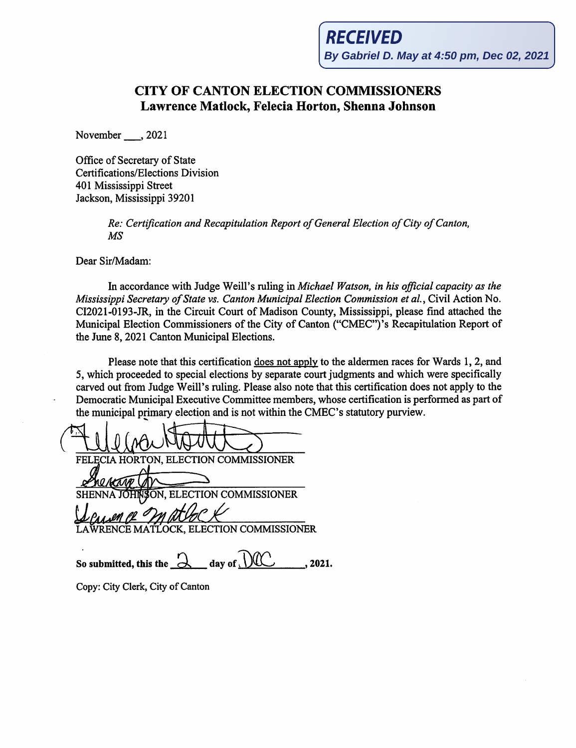## **CITY OF CANTON ELECTION COMMISSIONERS Lawrence Matlock, Felecia Horton, Shenna Johnson**

November\_, 2021

Office of Secretary of State Certifications/Elections Division 401 Mississippi Street Jackson, Mississippi 39201

> *Re: Certification and Recapitulation Report of General Election of City of Canton, MS*

Dear Sir/Madam:

In accordance with Judge Weill's ruling in *Michael Watson, in his official capacity as the Mississippi Secretary of State vs. Canton Municipal Election Commission et al.,* Civil Action No. CI2021-0193-JR, in the Circuit Court of Madison County, Mississippi, please find attached the Municipal Election Commissioners of the City of Canton ("CMEC") 's Recapitulation Report of the June 8, 2021 Canton Municipal Elections.

Please note that this certification does not apply to the aldermen races for Wards 1, 2, and 5, which proceeded to special elections by separate court judgments and which were specifically carved out from Judge Weill's ruling. Please also note that this certification does not apply to the Democratic Municipal Executive Committee members, whose certification is performed as part of the municipal primary election and is not within the CMEC's statutory purview.

We did the set of the set of the set of the set of the set of the set of the set of the set of the set of the set of the set of the set of the set of the set of the set of the set of the set of the set of the set of the se ON, ELECTION COMMISSIONER <u>Ucuan (2 m atlack</u><br>Leurence Matlock, ELECTION COMMISSIONER

So submitted, this the  $\alpha$  **day of**  $\widehat{W}$ , 2021.

Copy: City Clerk, City of Canton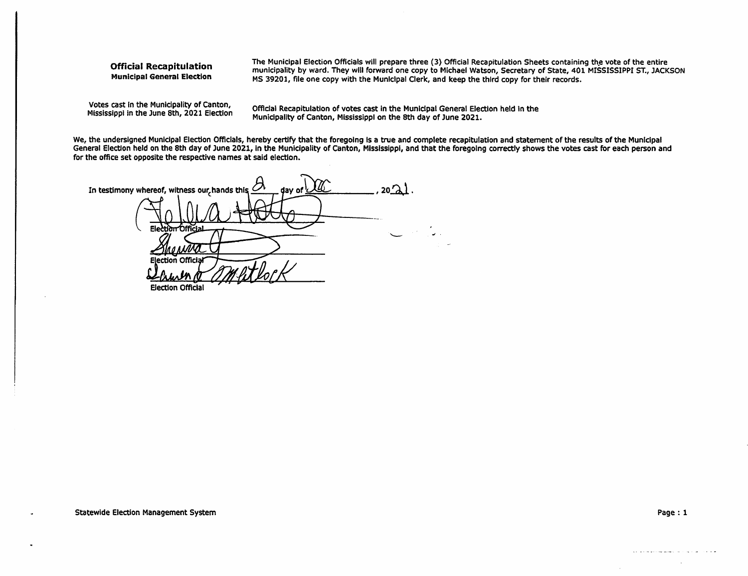## Official Recapitulation **Municipal General Election**

The Municipal Election Officials will prepare three (3) Official Recapitulation Sheets containing the vote of the entire municipality by ward. They wlll forward one copy to Michael Watson, Secretary of State, 401 MISSISSIPPI ST., JACKSON MS 39201, file one copy with the Municipal Clerk, and keep the third copy for their records.

Votes cast In the Municipality of Canton, Mississippi in the June 8th, 2021 Election

Official Recapitulation of votes cast in the Municipal General Election held in the Municipality of Canton, Mississippi on the 8th day of June 2021.

We, the undersigned Municipal Election Officials, hereby certify that the foregoing is a true and complete recapitulation and statement of the results of the Municipal General Election held on the 8th day of June 2021, in the Municipality of Canton, Mississippi, and that the foregoing correctly shows the votes cast for each person and for the office set opposite the respective names at said election.

 $20\Omega$ In testimony whereof, witness our hands this dav of **Official** Offici: **Election Official**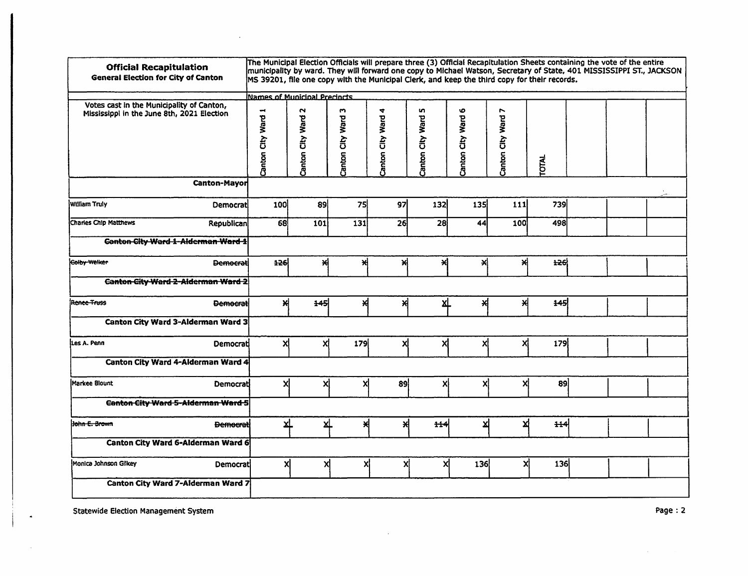| <b>Official Recapitulation</b><br><b>General Election for City of Canton</b>                            | The Municipal Election Officials will prepare three (3) Official Recapitulation Sheets containing the vote of the entire<br>municipality by ward. They will forward one copy to Michael Watson, Secretary of State, 401 MISSISSIPPI ST., JACKSON<br>MS 39201, file one copy with the Municipal Clerk, and keep the third copy for their records.<br>Names of Municipal Precincts |                          |                       |                       |                       |                       |                       |              |  |  |
|---------------------------------------------------------------------------------------------------------|----------------------------------------------------------------------------------------------------------------------------------------------------------------------------------------------------------------------------------------------------------------------------------------------------------------------------------------------------------------------------------|--------------------------|-----------------------|-----------------------|-----------------------|-----------------------|-----------------------|--------------|--|--|
| Votes cast in the Municipality of Canton,<br>Mississippi in the June 8th, 2021 Election<br>Canton-Mayor | Canton City Ward 1                                                                                                                                                                                                                                                                                                                                                               | 2<br>Ward<br>Canton City | w<br>Canton City Ward | 4<br>Canton City Ward | w<br>Canton City Ward | O<br>Canton City Ward | r<br>Canton City Ward | <b>TOTAL</b> |  |  |
| <b>William Truly</b><br>Democrati                                                                       | 100                                                                                                                                                                                                                                                                                                                                                                              | 89                       | 75                    | 97                    | 132                   | 135                   | 111                   | 739          |  |  |
| <b>Charles Chip Matthews</b><br>Republican                                                              | 68                                                                                                                                                                                                                                                                                                                                                                               | 101                      | 131                   | 26                    | 28                    | 44                    | 100                   | 498          |  |  |
| <b>Ganton City Ward 1-Alderman Ward 1</b>                                                               |                                                                                                                                                                                                                                                                                                                                                                                  |                          |                       |                       |                       |                       |                       |              |  |  |
| Colby Welker<br><b>Democrati</b>                                                                        | 126                                                                                                                                                                                                                                                                                                                                                                              | 쒀                        | 쒀                     | ×                     | 계                     | x∣                    | 쒀                     | $+26$        |  |  |
| <b>Canton City Ward 2-Alderman Ward 2</b>                                                               |                                                                                                                                                                                                                                                                                                                                                                                  |                          |                       |                       |                       |                       |                       |              |  |  |
| <b>Rence Truss</b><br><b>Democrati</b>                                                                  | 서                                                                                                                                                                                                                                                                                                                                                                                | $+45$                    | ₩                     | 서                     | <u>хL</u>             | 서                     | ×                     | 145          |  |  |
| Canton City Ward 3-Alderman Ward 3                                                                      |                                                                                                                                                                                                                                                                                                                                                                                  |                          |                       |                       |                       |                       |                       |              |  |  |
| Les A. Penn<br>Democrati                                                                                | xļ                                                                                                                                                                                                                                                                                                                                                                               | Χİ                       | 179                   | χį                    | xl                    | x                     | Χİ                    | 179          |  |  |
| Canton City Ward 4-Alderman Ward 4                                                                      |                                                                                                                                                                                                                                                                                                                                                                                  |                          |                       |                       |                       |                       |                       |              |  |  |
| <b>Markee Blount</b><br>Democrati                                                                       | xl                                                                                                                                                                                                                                                                                                                                                                               | Χļ                       | Χļ                    | 89                    | xl                    | X                     | xl                    | 89           |  |  |
| Canton City Ward 5-Alderman Ward 5                                                                      |                                                                                                                                                                                                                                                                                                                                                                                  |                          |                       |                       |                       |                       |                       |              |  |  |
| Hohn E. Brown<br><b>Democrati</b>                                                                       | ∡Ļ                                                                                                                                                                                                                                                                                                                                                                               | Σ1                       | ₩                     | 서                     | $+44$                 | 쐬                     | ⊻                     | 444          |  |  |
| <b>Canton City Ward 6-Alderman Ward 6</b>                                                               |                                                                                                                                                                                                                                                                                                                                                                                  |                          |                       |                       |                       |                       |                       |              |  |  |
| Monica Johnson Gilkey<br>Democrati                                                                      | x۱                                                                                                                                                                                                                                                                                                                                                                               | X                        | Χļ                    | X                     | X                     | 136                   | X                     | 136          |  |  |
| Canton City Ward 7-Alderman Ward 7                                                                      |                                                                                                                                                                                                                                                                                                                                                                                  |                          |                       |                       |                       |                       |                       |              |  |  |

 $\mathcal{L}_{\text{max}}$  and  $\mathcal{L}_{\text{max}}$ 

 $\Delta$ 

**Statewide Election Management System** 

 $\ddot{\phantom{a}}$ 

 $\mathcal{A}^{\mathcal{A}}$ 

 $\sim$